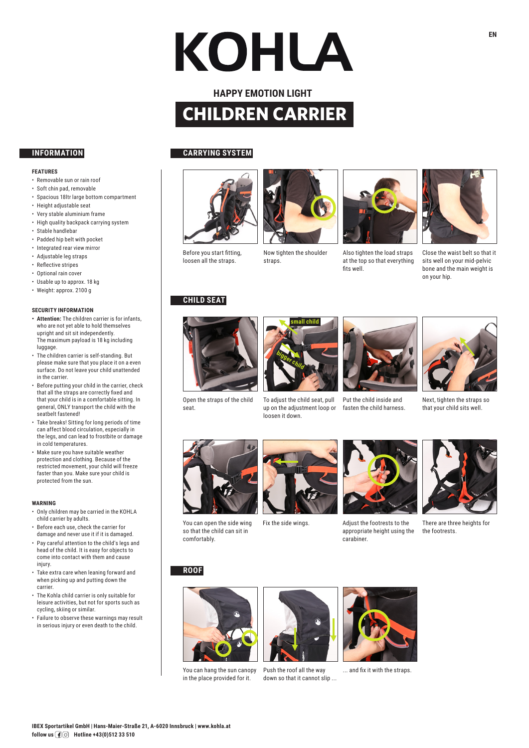# KOHLA

## **HAPPY EMOTION LIGHT CHILDREN CARRIER**

### **FEATURES**

- Removable sun or rain roof
- Soft chin pad, removable
- Spacious 18ltr large bottom compartment
- Height adjustable seat
- Very stable aluminium frame
- High quality backpack carrying system
- Stable handlebar
- Padded hip belt with pocket
- Integrated rear view mirror
- Adjustable leg straps
- Reflective stripes
- Optional rain cover
- Usable up to approx. 18 kg • Weight: approx. 2100 g
- 

## **SECURITY INFORMATION**

- **• Attention:** The children carrier is for infants, who are not yet able to hold themselves upright and sit sit independently. The maximum payload is 18 kg including luggage.
- The children carrier is self-standing. But please make sure that you place it on a even surface. Do not leave your child unattended in the carrier.
- Before putting your child in the carrier, check that all the straps are correctly fixed and that your child is in a comfortable sitting. In general, ONLY transport the child with the seatbelt fastened!
- Take breaks! Sitting for long periods of time can affect blood circulation, especially in the legs, and can lead to frostbite or damage in cold temperatures.
- Make sure you have suitable weather protection and clothing. Because of the restricted movement, your child will freeze faster than you. Make sure your child is protected from the sun.

### **WARNING**

- Only children may be carried in the KOHLA child carrier by adults.
- Before each use, check the carrier for damage and never use it if it is damaged.
- Pay careful attention to the child's legs and head of the child. It is easy for objects to come into contact with them and cause injury
- Take extra care when leaning forward and when picking up and putting down the carrier.
- The Kohla child carrier is only suitable for leisure activities, but not for sports such as cycling, skiing or similar.
- Failure to observe these warnings may result in serious injury or even death to the child.

## **INFORMATION CARRYING SYSTEM**









Also tighten the load straps at the top so that everything fits well.



Close the waist belt so that it sits well on your mid-pelvic bone and the main weight is on your hip.

Before you start fitting, loosen all the straps.

## Now tighten the shoulder straps.

## **CHILD SEAT**



Open the straps of the child seat.



up on the adjustment loop or loosen it down.



Put the child inside and fasten the child harness.



Next, tighten the straps so that your child sits well.





You can open the side wing so that the child can sit in comfortably.



Fix the side wings. Adjust the footrests to the appropriate height using the carabiner.



There are three heights for the footrests.

## **ROOF**



You can hang the sun canopy Push the roof all the way in the place provided for it.



down so that it cannot slip ...



... and fix it with the straps.

# **small child**